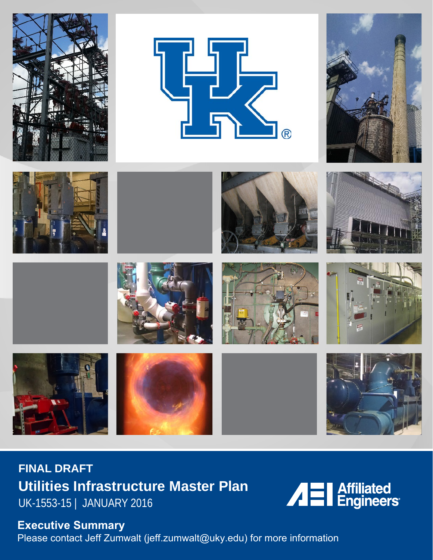



























**FINAL DRAFT Utilities Infrastructure Master Plan** UK-1553-15 | JANUARY 2016



# **Executive Summary**

Please contact Jeff Zumwalt (jeff.zumwalt@uky.edu) for more information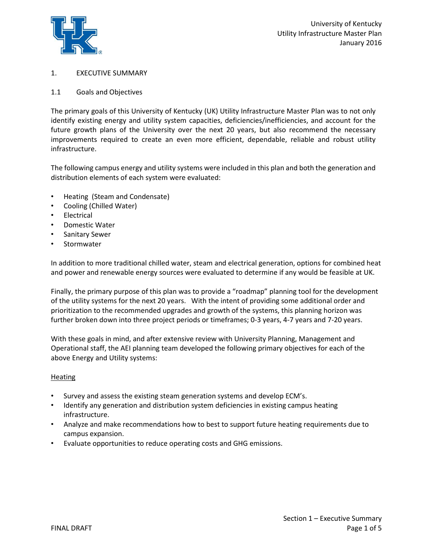

# 1. EXECUTIVE SUMMARY

## 1.1 Goals and Objectives

The primary goals of this University of Kentucky (UK) Utility Infrastructure Master Plan was to not only identify existing energy and utility system capacities, deficiencies/inefficiencies, and account for the future growth plans of the University over the next 20 years, but also recommend the necessary improvements required to create an even more efficient, dependable, reliable and robust utility infrastructure.

The following campus energy and utility systems were included in this plan and both the generation and distribution elements of each system were evaluated:

- Heating (Steam and Condensate)
- Cooling (Chilled Water)
- **Electrical**
- Domestic Water
- Sanitary Sewer
- **Stormwater**

In addition to more traditional chilled water, steam and electrical generation, options for combined heat and power and renewable energy sources were evaluated to determine if any would be feasible at UK.

Finally, the primary purpose of this plan was to provide a " roadmap" planning tool for the development of the utility systems for the next 20 years. With the intent of providing some additional order and prioritization to the recommended upgrades and growth of the systems, this planning horizon was further broken down into three project periods or timeframes; 0-3 years, 4-7 years and 7-20 years.

With these goals in mind, and after extensive review with University Planning, Management and Operational staff, the AEI planning team developed the following primary objectives for each of the above Energy and Utility systems:

## **Heating**

- Survey and assess the existing steam generation systems and develop ECM's.
- Identify any generation and distribution system deficiencies in existing campus heating infrastructure.
- Analyze and make recommendations how to best to support future heating requirements due to campus expansion.
- Evaluate opportunities to reduce operating costs and GHG emissions.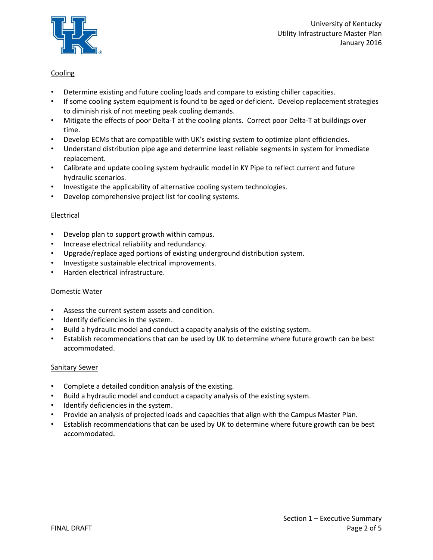

# **Cooling**

- Determine existing and future cooling loads and compare to existing chiller capacities.
- If some cooling system equipment is found to be aged or deficient. Develop replacement strategies to diminish risk of not meeting peak cooling demands.
- Mitigate the effects of poor Delta-T at the cooling plants. Correct poor Delta-T at buildings over time.
- Develop ECMs that are compatible with UK's existing system to optimize plant efficiencies.
- Understand distribution pipe age and determine least reliable segments in system for immediate replacement.
- Calibrate and update cooling system hydraulic model in KY Pipe to reflect current and future hydraulic scenarios.
- Investigate the applicability of alternative cooling system technologies.
- Develop comprehensive project list for cooling systems.

## Electrical

- Develop plan to support growth within campus.
- Increase electrical reliability and redundancy.
- Upgrade/replace aged portions of existing underground distribution system.
- Investigate sustainable electrical improvements.
- Harden electrical infrastructure.

## Domestic Water

- Assess the current system assets and condition.
- Identify deficiencies in the system.
- Build a hydraulic model and conduct a capacity analysis of the existing system.
- Establish recommendations that can be used by UK to determine where future growth can be best accommodated.

## Sanitary Sewer

- Complete a detailed condition analysis of the existing.
- Build a hydraulic model and conduct a capacity analysis of the existing system.
- Identify deficiencies in the system.
- Provide an analysis of projected loads and capacities that align with the Campus Master Plan.
- Establish recommendations that can be used by UK to determine where future growth can be best accommodated.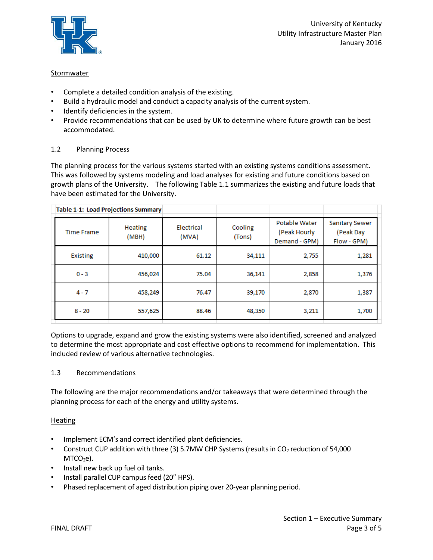

## **Stormwater**

- Complete a detailed condition analysis of the existing.
- Build a hydraulic model and conduct a capacity analysis of the current system.
- Identify deficiencies in the system.
- Provide recommendations that can be used by UK to determine where future growth can be best accommodated.

## 1.2 Planning Process

The planning process for the various systems started with an existing systems conditions assessment. This was followed by systems modeling and load analyses for existing and future conditions based on growth plans of the University. The following Table 1.1 summarizes the existing and future loads that have been estimated for the University.

|                   | <b>Table 1-1: Load Projections Summary</b> |                     |                   |                                                |                                            |  |
|-------------------|--------------------------------------------|---------------------|-------------------|------------------------------------------------|--------------------------------------------|--|
| <b>Time Frame</b> | <b>Heating</b><br>(MBH)                    | Electrical<br>(MVA) | Cooling<br>(Tons) | Potable Water<br>(Peak Hourly<br>Demand - GPM) | Sanitary Sewer<br>(Peak Day<br>Flow - GPM) |  |
| <b>Existing</b>   | 410,000                                    | 61.12               | 34,111            | 2,755                                          | 1,281                                      |  |
| $0 - 3$           | 456,024                                    | 75.04               | 36,141            | 2,858                                          | 1,376                                      |  |
| $4 - 7$           | 458,249                                    | 76.47               | 39,170            | 2,870                                          | 1,387                                      |  |
| $8 - 20$          | 557,625                                    | 88.46               | 48,350            | 3,211                                          | 1,700                                      |  |

Options to upgrade, expand and grow the existing systems were also identified, screened and analyzed to determine the most appropriate and cost effective options to recommend for implementation. This included review of various alternative technologies.

## 1.3 Recommendations

The following are the major recommendations and/or takeaways that were determined through the planning process for each of the energy and utility systems.

## Heating

- Implement ECM's and correct identified plant deficiencies.
- Construct CUP addition with three (3) 5.7MW CHP Systems (results in CO<sub>2</sub> reduction of 54,000  $MTCO<sub>2</sub>e$ ).
- Install new back up fuel oil tanks.
- Install parallel CUP campus feed (20" HPS).
- Phased replacement of aged distribution piping over 20-year planning period.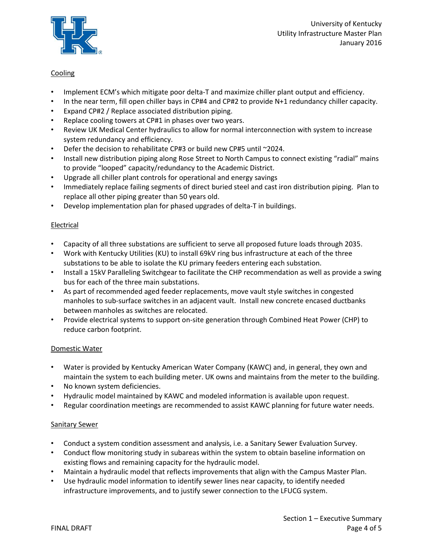

# **Cooling**

- Implement ECM's which mitigate poor delta-T and maximize chiller plant output and efficiency.
- In the near term, fill open chiller bays in CP#4 and CP#2 to provide N+1 redundancy chiller capacity.
- Expand CP#2 / Replace associated distribution piping.
- Replace cooling towers at CP#1 in phases over two years.
- Review UK Medical Center hydraulics to allow for normal interconnection with system to increase system redundancy and efficiency.
- Defer the decision to rehabilitate CP#3 or build new CP#5 until ~ 2024.
- Install new distribution piping along Rose Street to North Campus to connect existing "radial" mains to provide "looped" capacity/redundancy to the Academic District.
- Upgrade all chiller plant controls for operational and energy savings
- Immediately replace failing segments of direct buried steel and cast iron distribution piping. Plan to replace all other piping greater than 50 years old.
- Develop implementation plan for phased upgrades of delta-T in buildings.

## Electrical

- Capacity of all three substations are sufficient to serve all proposed future loads through 2035.
- Work with Kentucky Utilities (KU) to install 69kV ring bus infrastructure at each of the three substations to be able to isolate the KU primary feeders entering each substation.
- Install a 15kV Paralleling Switchgear to facilitate the CHP recommendation as well as provide a swing bus for each of the three main substations.
- As part of recommended aged feeder replacements, move vault style switches in congested manholes to sub-surface switches in an adjacent vault. Install new concrete encased ductbanks between manholes as switches are relocated.
- Provide electrical systems to support on-site generation through Combined Heat Power (CHP) to reduce carbon footprint.

## Domestic Water

- Water is provided by Kentucky American Water Company (KAWC) and, in general, they own and maintain the system to each building meter. UK owns and maintains from the meter to the building.
- No known system deficiencies.
- Hydraulic model maintained by KAWC and modeled information is available upon request.
- Regular coordination meetings are recommended to assist KAWC planning for future water needs.

## Sanitary Sewer

- Conduct a system condition assessment and analysis, i.e. a Sanitary Sewer Evaluation Survey.
- Conduct flow monitoring study in subareas within the system to obtain baseline information on existing flows and remaining capacity for the hydraulic model.
- Maintain a hydraulic model that reflects improvements that align with the Campus Master Plan.
- Use hydraulic model information to identify sewer lines near capacity, to identify needed infrastructure improvements, and to justify sewer connection to the LFUCG system.